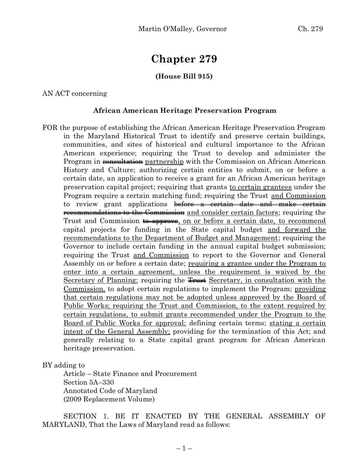# **Chapter 279**

## **(House Bill 915)**

AN ACT concerning

#### **African American Heritage Preservation Program**

FOR the purpose of establishing the African American Heritage Preservation Program in the Maryland Historical Trust to identify and preserve certain buildings, communities, and sites of historical and cultural importance to the African American experience; requiring the Trust to develop and administer the Program in consultation partnership with the Commission on African American History and Culture; authorizing certain entities to submit, on or before a certain date, an application to receive a grant for an African American heritage preservation capital project; requiring that grants to certain grantees under the Program require a certain matching fund; requiring the Trust and Commission to review grant applications <del>before a certain date and make certain</del> **recommendations to the Commission** and consider certain factors; requiring the Trust and Commission to approve, on or before a certain date, to recommend capital projects for funding in the State capital budget and forward the recommendations to the Department of Budget and Management; requiring the Governor to include certain funding in the annual capital budget submission; requiring the Trust and Commission to report to the Governor and General Assembly on or before a certain date; requiring a grantee under the Program to enter into a certain agreement, unless the requirement is waived by the Secretary of Planning; requiring the Trust Secretary, in consultation with the Commission, to adopt certain regulations to implement the Program; providing that certain regulations may not be adopted unless approved by the Board of Public Works; requiring the Trust and Commission, to the extent required by certain regulations, to submit grants recommended under the Program to the Board of Public Works for approval; defining certain terms; stating a certain intent of the General Assembly; providing for the termination of this Act; and generally relating to a State capital grant program for African American heritage preservation.

BY adding to

Article – State Finance and Procurement Section 5A–330 Annotated Code of Maryland (2009 Replacement Volume)

SECTION 1. BE IT ENACTED BY THE GENERAL ASSEMBLY OF MARYLAND, That the Laws of Maryland read as follows: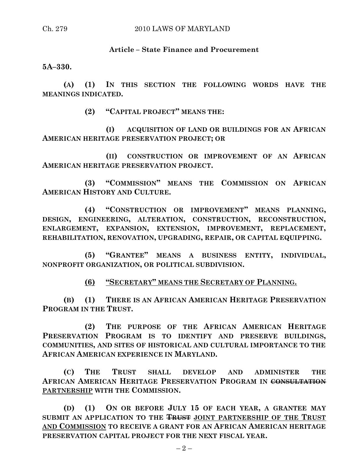## **Article – State Finance and Procurement**

**5A–330.**

**(A) (1) IN THIS SECTION THE FOLLOWING WORDS HAVE THE MEANINGS INDICATED.**

**(2) "CAPITAL PROJECT" MEANS THE:**

**(I) ACQUISITION OF LAND OR BUILDINGS FOR AN AFRICAN AMERICAN HERITAGE PRESERVATION PROJECT; OR**

**(II) CONSTRUCTION OR IMPROVEMENT OF AN AFRICAN AMERICAN HERITAGE PRESERVATION PROJECT.**

**(3) "COMMISSION" MEANS THE COMMISSION ON AFRICAN AMERICAN HISTORY AND CULTURE.**

**(4) "CONSTRUCTION OR IMPROVEMENT" MEANS PLANNING, DESIGN, ENGINEERING, ALTERATION, CONSTRUCTION, RECONSTRUCTION, ENLARGEMENT, EXPANSION, EXTENSION, IMPROVEMENT, REPLACEMENT, REHABILITATION, RENOVATION, UPGRADING, REPAIR, OR CAPITAL EQUIPPING.**

**(5) "GRANTEE" MEANS A BUSINESS ENTITY, INDIVIDUAL, NONPROFIT ORGANIZATION, OR POLITICAL SUBDIVISION.**

**(6) "SECRETARY" MEANS THE SECRETARY OF PLANNING.**

**(B) (1) THERE IS AN AFRICAN AMERICAN HERITAGE PRESERVATION PROGRAM IN THE TRUST.**

**(2) THE PURPOSE OF THE AFRICAN AMERICAN HERITAGE PRESERVATION PROGRAM IS TO IDENTIFY AND PRESERVE BUILDINGS, COMMUNITIES, AND SITES OF HISTORICAL AND CULTURAL IMPORTANCE TO THE AFRICAN AMERICAN EXPERIENCE IN MARYLAND.**

**(C) THE TRUST SHALL DEVELOP AND ADMINISTER THE AFRICAN AMERICAN HERITAGE PRESERVATION PROGRAM IN CONSULTATION PARTNERSHIP WITH THE COMMISSION.**

**(D) (1) ON OR BEFORE JULY 15 OF EACH YEAR, A GRANTEE MAY SUBMIT AN APPLICATION TO THE TRUST JOINT PARTNERSHIP OF THE TRUST AND COMMISSION TO RECEIVE A GRANT FOR AN AFRICAN AMERICAN HERITAGE PRESERVATION CAPITAL PROJECT FOR THE NEXT FISCAL YEAR.**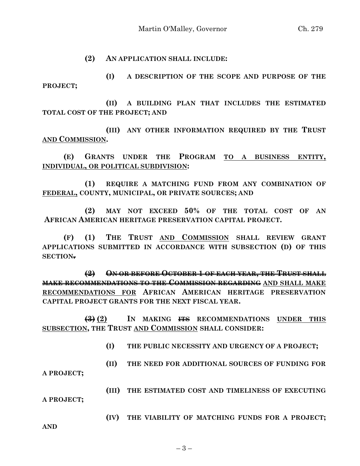### **(2) AN APPLICATION SHALL INCLUDE:**

**(I) A DESCRIPTION OF THE SCOPE AND PURPOSE OF THE PROJECT;**

**(II) A BUILDING PLAN THAT INCLUDES THE ESTIMATED TOTAL COST OF THE PROJECT; AND**

**(III) ANY OTHER INFORMATION REQUIRED BY THE TRUST AND COMMISSION.**

**(E) GRANTS UNDER THE PROGRAM TO A BUSINESS ENTITY, INDIVIDUAL, OR POLITICAL SUBDIVISION:**

**(1) REQUIRE A MATCHING FUND FROM ANY COMBINATION OF FEDERAL, COUNTY, MUNICIPAL, OR PRIVATE SOURCES; AND**

**(2) MAY NOT EXCEED 50% OF THE TOTAL COST OF AN AFRICAN AMERICAN HERITAGE PRESERVATION CAPITAL PROJECT.**

**(F) (1) THE TRUST AND COMMISSION SHALL REVIEW GRANT APPLICATIONS SUBMITTED IN ACCORDANCE WITH SUBSECTION (D) OF THIS SECTION.**

**(2) ON OR BEFORE OCTOBER 1 OF EACH YEAR, THE TRUST SHALL MAKE RECOMMENDATIONS TO THE COMMISSION REGARDING AND SHALL MAKE RECOMMENDATIONS FOR AFRICAN AMERICAN HERITAGE PRESERVATION CAPITAL PROJECT GRANTS FOR THE NEXT FISCAL YEAR.**

**(3) (2) IN MAKING ITS RECOMMENDATIONS UNDER THIS SUBSECTION, THE TRUST AND COMMISSION SHALL CONSIDER:**

- **(I) THE PUBLIC NECESSITY AND URGENCY OF A PROJECT;**
- **(II) THE NEED FOR ADDITIONAL SOURCES OF FUNDING FOR**

**A PROJECT;**

**(III) THE ESTIMATED COST AND TIMELINESS OF EXECUTING A PROJECT;**

**(IV) THE VIABILITY OF MATCHING FUNDS FOR A PROJECT;**

**AND**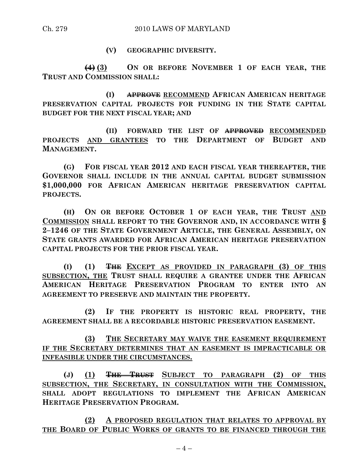#### Ch. 279 2010 LAWS OF MARYLAND

**(V) GEOGRAPHIC DIVERSITY.**

**(4) (3) ON OR BEFORE NOVEMBER 1 OF EACH YEAR, THE TRUST AND COMMISSION SHALL:**

**(I) APPROVE RECOMMEND AFRICAN AMERICAN HERITAGE PRESERVATION CAPITAL PROJECTS FOR FUNDING IN THE STATE CAPITAL BUDGET FOR THE NEXT FISCAL YEAR; AND**

**(II) FORWARD THE LIST OF APPROVED RECOMMENDED PROJECTS AND GRANTEES TO THE DEPARTMENT OF BUDGET AND MANAGEMENT.**

**(G) FOR FISCAL YEAR 2012 AND EACH FISCAL YEAR THEREAFTER, THE GOVERNOR SHALL INCLUDE IN THE ANNUAL CAPITAL BUDGET SUBMISSION \$1,000,000 FOR AFRICAN AMERICAN HERITAGE PRESERVATION CAPITAL PROJECTS.**

**(H) ON OR BEFORE OCTOBER 1 OF EACH YEAR, THE TRUST AND COMMISSION SHALL REPORT TO THE GOVERNOR AND, IN ACCORDANCE WITH § 2–1246 OF THE STATE GOVERNMENT ARTICLE, THE GENERAL ASSEMBLY, ON STATE GRANTS AWARDED FOR AFRICAN AMERICAN HERITAGE PRESERVATION CAPITAL PROJECTS FOR THE PRIOR FISCAL YEAR.**

**(I) (1) THE EXCEPT AS PROVIDED IN PARAGRAPH (3) OF THIS SUBSECTION, THE TRUST SHALL REQUIRE A GRANTEE UNDER THE AFRICAN AMERICAN HERITAGE PRESERVATION PROGRAM TO ENTER INTO AN AGREEMENT TO PRESERVE AND MAINTAIN THE PROPERTY.**

**(2) IF THE PROPERTY IS HISTORIC REAL PROPERTY, THE AGREEMENT SHALL BE A RECORDABLE HISTORIC PRESERVATION EASEMENT.**

**(3) THE SECRETARY MAY WAIVE THE EASEMENT REQUIREMENT IF THE SECRETARY DETERMINES THAT AN EASEMENT IS IMPRACTICABLE OR INFEASIBLE UNDER THE CIRCUMSTANCES.**

**(J) (1) THE TRUST SUBJECT TO PARAGRAPH (2) OF THIS SUBSECTION, THE SECRETARY, IN CONSULTATION WITH THE COMMISSION, SHALL ADOPT REGULATIONS TO IMPLEMENT THE AFRICAN AMERICAN HERITAGE PRESERVATION PROGRAM.**

**(2) A PROPOSED REGULATION THAT RELATES TO APPROVAL BY THE BOARD OF PUBLIC WORKS OF GRANTS TO BE FINANCED THROUGH THE**